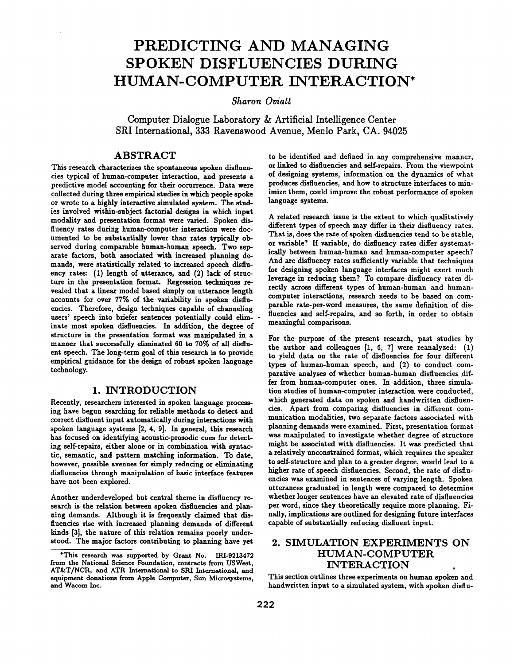# **PREDICTING AND MANAGING SPOKEN DISFLUENCIES DURING HUMAN-COMPUTER INTERACTION\***

*Sharon Oviatt* 

**Computer Dialogue Laboratory & Artificial Intelligence Center SKI International, 333 Ravenswood Avenue, Menlo Park, CA. 94025** 

### **ABSTRACT**

This research characterizes the spontaneous spoken disfluencies typical of human-computer interaction, and presents a predictive model accounting for their occurrence. Data were collected during three empirical studies in which people spoke or wrote to a highly interactive simulated system. The studies involved within-subject factorial designs in which input modality and presentation format were varied. Spoken disfluency rates during human-computer interaction were documented to be substantially lower than rates typically observed during comparable human-human speech. Two separate factors, both associated with increased planning demands, were statistically related to increased speech disfluency rates: (1) length of utterance, and (2) lack of structure in the presentation format. Regression techniques revealed that a linear model based simply on utterance length accounts for over 77% of the variability in spoken disfluencies. Therefore, design techniques capable of channeling users' speech into briefer sentences potentially could eliminate most spoken disfluencies. In addition, the degree of structure in the presentation format was manipulated in a manner that successfully eliminated 60 to 70% of all disfluent speech. The long-term goal of this research is to provide empirical guidance for the design of robust spoken language technology.

## **1. INTRODUCTION**

Recently, researchers interested in spoken language processing have begun searching for reliable methods to detect and correct disfluent input automatically during interactions with spoken language systems [2, 4, 9]. In general, this research has focused on identifying acoustic-prosodic cues for detecting self-repairs, either alone or in combination with syntactic, semantic, and pattern matching information. To date, however, possible avenues for simply reducing or eliminating disfluencies through manipulation of basic interface features have not been explored.

Another underdeveloped but central theme in disfluency research is the relation between spoken disfluencies and planning demands. Although it is frequently claimed that disfluencies rise with increased planning demands of different kinds [3], the nature of this relation remains poorly understood. The major factors contributing to planning have yet

to be identified and defined in any comprehensive manner, or linked to disfluencies and self-repairs. From the viewpoint of designing systems, information on the dynarnics of what produces disfluencies, and how to structure interfaces to minimize them, could improve the robust performance of spoken language systems.

A related research issue is the extent to which qualitatively different types of speech may differ in their disfluency rates. That is, does the rate of spoken disfluencies tend to be stable, or variable? If variable, do disfluency rates differ systematically between human-human and human-computer speech? And are disfluency rates sufficiently variable that techniques for designing spoken language interfaces might exert much leverage in reducing them? To compare disfluency rates directly across different types of human-human and humancomputer interactions, research needs to be based on comparable rate-per-word measures, the same definition of disfluencies and self-repairs, and so forth, in order to obtain meaningful comparisons.

For the purpose of the present research, past studies by the author and colleagues [1, 6, 7] were reanalyzed: (1) to yield data on the rate of disfluencies for four different types of human-human speech, and (2) to conduct comparative analyses of whether human-human disfluencies differ from human-computer ones. In addition, three simulation studies of human-computer interaction were conducted, which generated data on spoken and handwritten disfluencies. Apart from comparing disfluencies in different communication modalities, two separate factors associated with planning demands were examined. First, presentation format was manipulated to investigate whether degree of structure might be associated with disfluencies. It was predicted that a relatively unconstrained format, which requires the speaker to self-structure and plan to a greater degree, would lead to a higher rate of speech disfluencies. Second, the rate of disfluencies was examined in sentences of varying length. Spoken utterances graduated in length were compared to determine whether longer sentences have an elevated rate of disfluencies per word, since they theoretically require more planning. Finally, implications are outlined for designing future interfaces capable of substantially reducing disfluent input.

# **2. SIMULATION EXPERIMENTS ON HUMAN-COMPUTER INTERACTION**

This section outlines three experiments on human spoken and handwritten input to a simulated system, with spoken disflu-

<sup>\*</sup>This research was supported by Grant No. IRI-9213472 from the National Science Foundation, contracts from USWest, AT&T/NCR, and ATR International to SRI International, and equipment donations from Apple Computer, Sun Microsystems, and Wacom Inc.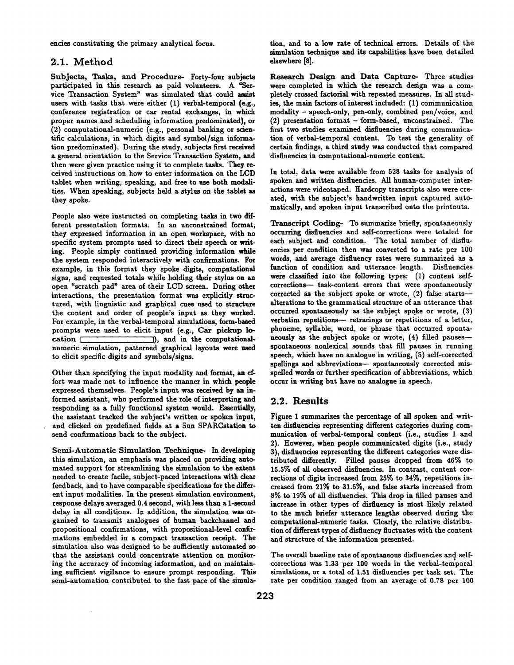encies constituting the primary analytical focus.

#### **2.1. Method**

Subjects, Tasks, and Procedure- Forty-four subjects participated in this research as paid volunteers. A "Service Transaction System" was simulated that could assist users with tasks that were either (1) verbal-temporal (e.g., conference registration or cax rental exchanges, in which proper names and scheduling information predominated), or (2) computational-numeric (e.g., personal banking or scientific calculations, in which digits and symbol/sign information predominated). During the study, subjects first received a general orientation to the Service Transaction System, and then were given practice using it to complete tasks. They received instructions on how to enter information on the LCD tablet when writing, speaking, and free to use both modalities. When speaking, subjects held a stylus on the tablet as they spoke.

People also were instructed on completing tasks in two different presentation formats. In an unconstrained format, they expressed information in an open workspace, with no specific system prompts used to direct their speech or writing. People simply continued providing information while the system responded interactively with confirmations. For example, in this format they spoke digits, computational signs, and requested totals while holding their stylus on an open %cratch pad" area of their LCD screen. During other interactions, the presentation format was explicitly structured, with linguistic and graphical cues used to structure the content and order of people's input as they worked. For example, in the verbal-temporal simulations, form-based prompts were used to elicit input (e.g., Car pickup lo- $\text{cation}$   $\Box$ ), and in the computationalnumeric simulation, patterned graphical layouts were used to elicit specific digits and symbols/signs.

Other than specifying the input modality and format, an effort was made not to influence the manner in which people expressed themselves. People's input was received by an informed assistant, who performed the role of interpreting and responding as a fully functional system would. Essentially, the assistant tracked the subject's written or spoken input, and clicked on predefined fields at a Sun SPARCstation to send confirmations back to the subject.

Semi-Automatic Simulation Technique- In developing this simulation, an emphasis was placed on providing automated support for streamlining the simulation to the extent needed to create facile, subject-paced interactions with deax feedback, and to have compaxable specifications for the different input modalities. In the present simulation environment, response delays averaged 0.4 second, with less than a 1-second delay in all conditions. In addition, the simulation was organized to transmit analogues of human backchannel and propositional confirmations, with propositional-level combmations embedded in a compact transaction receipt. The simulation also was designed to be sufficiently automated so that the assistant could concentrate attention on monitoring the accuracy of incoming information, and on maintaining sufficient vigilance to ensure prompt responding. This semi-automation contributed to the fast pace of the simulation, and to a low rate of technical errors. Details of the simulation technique and its capabilities have been detailed elsewhere [8].

Research Design and Data Capture- Three studies were completed in which the research design was a completely crossed factorial with repeated measures. In all studies, the main factors of interest included: (1) communication modality - speech-only, pen-only, combined pen/voice, and (2) presentation format - form-based, unconstrained. The first two studies examined disfluencies during communication of verbal-temporal content. To test the generality of certain findings, a third study was conducted that compared disfluencies in computational-numeric content.

In total, data were available from 528 tasks for analysis of spoken and written disfluencies. All human-computer interactions were videotaped. Hardcopy transcripts also were created, with the subject's handwritten input captured automatically, and spoken input transcribed onto the printouts.

Transcript Coding- To summarize briefly, spontaneously occurring disfluencies and self-corrections were totaled for each subject and condition. The total number of disfluencies per condition then was converted to a rate per 100 words, and average disfluency rates were summaxized as a function of condition and utterance length. Disfluencies were classified into the following types: (1) content selfcorrections- task-content errors that were spontaneously corrected as the subject spoke or wrote, (2) false starts- alterations to the grammatical structure of an utterance that occurred spontaneously as the subject spoke or wrote, (3) verbatim repetitions-- retracings or repetitions of a letter, phoneme, syllable, word, or phrase that occurred spontaneously as the subject spoke or wrote, (4) filled pausesspontaneous nonlexical sounds that fill pauses in running speech, which have no analogue in writing, (5) self-corrected spellings and abbreviations- spontaneously corrected misspelled words or further specification of abbreviations, which occur in writing but have no analogue in speech.

#### **2.2. Results**

Figure 1 summarizes the percentage of all spoken and written distiuencies representing different categories during communication of verbal-temporal content (i.e., studies 1 and 2). However, when people communicated digits (i.e., study 3), disfluencies representing the diiferent categories were distributed differently. Filled pauses dropped from 46% to 15.5% of all observed disfluencies. In contrast, content corrections of digits increased from 25% to 34%, repetitions increased from 21% to 31.5%, and false staxts increased from 8% to 19% of all disfluencies. This drop in filled pauses and increase in other types of disfluency is niost likely related to the much briefer utterance lengths observed during the computational-numeric tasks. Clearly, the relative distribution of different types of disfluency fluctuates with the content and structure of the information presented.

The overall baseline rate of spontaneous disfluencies and selfcorrections was 1.33 per 100 words in the verbal-temporal simulations, or a total of 1.51 disfluencies per task set. The rate per condition ranged from an average of 0.78 per 100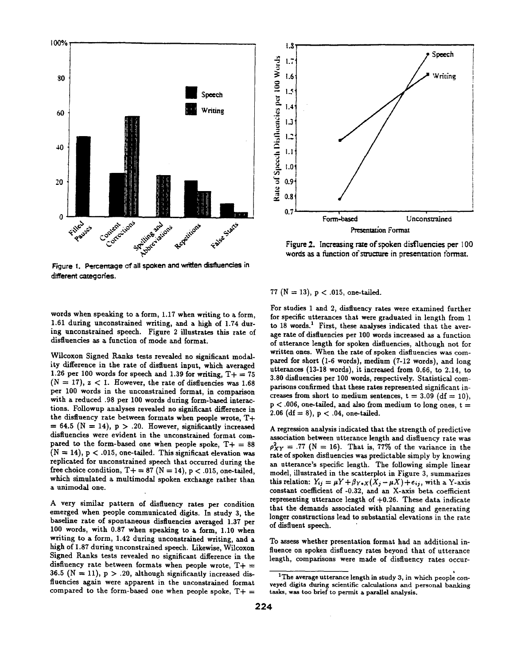

Figure 1. Percentage of all spoken and written disfluencies in different categories.



Figure 2. Increasing rate of spoken disfluencies per 100 words as a function of structure in presentation format.

words when speaking to a form, 1.17 when writing to a form, 1.61 during unconstrained writing, and a high of 1.74 during unconstrained speech. Figure 2 illustrates this rate of disfluencies as a function of mode and format.

Wilcoxon Signed Ranks tests revealed no significant modality difference in the rate of disfluent input, which averaged 1.26 per 100 words for speech and 1.39 for writing,  $T+=75$  $(N = 17)$ ,  $z < 1$ . However, the rate of disfluencies was 1.68 per 100 words in the unconstrained format, in comparison with a reduced .98 per 100 words during form-based interactions. Followup analyses revealed no significant difference in the disfluency rate between formats when people wrote, T+  $= 64.5$  (N = 14), p > .20. However, significantly increased disfluencies were evident in the unconstrained format compared to the form-based one when people spoke,  $T+= 88$  $(N = 14)$ ,  $p < .015$ , one-tailed. This significant elevation was replicated for unconstrained speech that occurred during the free choice condition,  $T+=87$  (N = 14), p < .015, one-tailed, which simulated a multimodal spoken exchange rather than a unimodal one.

A very similax pattern of disfluency rates per condition emerged when people communicated digits. In study 3, the baseline rate of spontaneous disfluencies averaged 1.37 per 100 words, with 0.87 when speaking to a form, 1.10 when writing to a form, 1.42 during unconstrained writing, and a high of 1.87 during unconstrained speech. Likewise, Wilcoxon Signed Ranks tests revealed no significant difference in the disfluency rate between formats when people wrote,  $T_+$ 36.5 ( $N = 11$ ),  $p > .20$ , although significantly increased disfluencies again were apparent in the unconstrained format compared to the form-based one when people spoke,  $T+$  =

77 ( $N = 13$ ),  $p < .015$ , one-tailed.

For studies 1 and 2, disfluency rates were examined further for specific utterances that were graduated in length from 1 to 18 words.<sup>1</sup> First, these analyses indicated that the average rate of disfluencies per 100 words increased as a function of utterance length for spoken disfluencies, although not for written ones. When the rate of spoken disfluencies was compared for short (I-6 words), medium (7-12 words), and long utterances (13-18 words), it increased from 0.66, to 2.14, to 3.80 disfluencies per 100 words, respectively. Statistical comparisons confirmed that these rates represented significant increases from short to medium sentences,  $t = 3.09$  (df = 10),  $p < .006$ , one-tailed, and also from medium to long ones,  $t =$ 2.06 (df = 8),  $p < .04$ , one-tailed.

A regression analysis indicated that the strength of predictive association between utterance length and disfluency rate was  $\rho_{XY}^2 = .77$  (N = 16). That is, 77% of the variance in the rate of spoken disfluencies was predictable simply by knowing an utterance's specific length. The following simple linear model, illustrated in the scatterplot in Figure 3, summarizes this relation:  $Y_{ij} = \mu Y + \beta_{Y+X}(X_j - \mu X) + e_{ij}$ , with a Y-axis constant coefficient of -0.32, and an X-axis beta coefficient representing utterance length of +0.26. These data indicate that the demands associated with planning and generating longer constructions lead to substantial elevations in the rate of disfluent speech.

To assess whether presentation format had an additional influence on spoken disfluency rates beyond that of utterance length, comparisons were made of disfluency rates occur-

<sup>&</sup>lt;sup>1</sup>The average utterance length in study 3, in which people conveyed digits during scientific calculations and personal banking tasks, was too brief to permit a parallel analysis.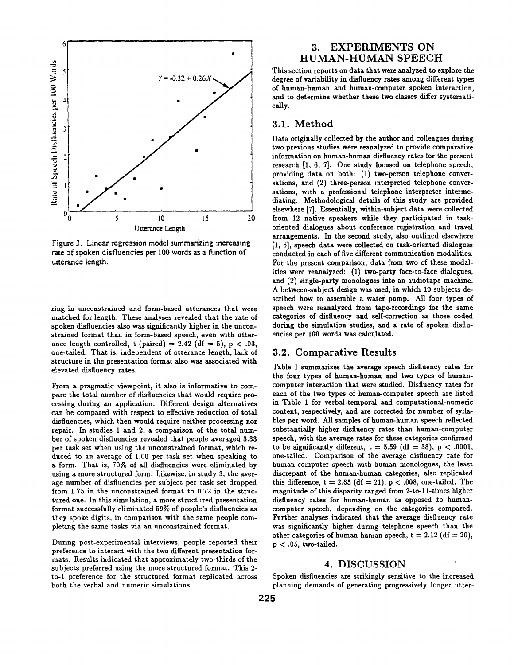

Figure 3. Linear regression model summarizing increasing rate of spoken disfluencies per 100 words as a function of utterance length.

ring in unconstrained and form-based utterances that were matched for length. These analyses revealed that the rate of spoken disfluencies also was significantly higher in the unconstrained format than in form-based speech, even with utterance length controlled, t (paired) = 2.42 (df = 5), p < .03, one-tailed. That is, independent of utterance length, lack of structure in the presentation format also was associated with elevated disfluency rates.

From a pragmatic viewpoint, it also is informative to compare the total number of disfluencies that would require processing during an application. Different design alternatives can be compared with respect to effective reduction of total disfluencies, which then would require neither processing nor repair. In studies 1 and 2, a comparison of the total number of spoken disfiuencies revealed that people averaged 3.33 per task set when using the unconstrained format, which reduced to an average of 1.00 per task set when speaking to a form. That is, 70% of all disfluencies were eliminated by using a more structured form. Likewise, in study 3, the average number of disfluencies per subject per task set dropped from 1.75 in the unconstrained format to 0.72 in the structured one. In this simulation, a more structured presentation format successfully eliminated 59% of people's disfluencies as they spoke digits, in comparison with the same people completing the same tasks via an unconstrained format.

During post-experimental interviews, people reported their preference to interact with the two different presentation formats. Results indicated that approximately two-thirds of the subjects preferred using the more structured format. This 2 to-1 preference for the structured format replicated across both the verbal and numeric simulations.

# **3. EXPERIMENTS ON HUMAN-HUMAN SPEECH**

This section reports on data that were analyzed to explore the degree of variability in disfluency rates among different types of human-human and human-computer spoken interaction, and to determine whether these two classes differ systematically.

# **3.1.** Method

Data originally collected by the author and colleagues during two previous studies were reanalyzed to provide comparative information on human-human disfluency rates for the present research [1, 6, 7]. One study focused on telephone speech, providing data on both: (1) two-person telephone conversations, and (2) three-person interpreted telephone conversations, with a professional telephone interpreter intermediating. Methodological details of this study are provided elsewhere [7]. Essentially, within-subject data were collected from 12 native speakers while they participated in taskoriented dialogues about conference registration and travel arrangements. In the second study, also outlined elsewhere [1, 6], speech data were collected on task-oriented dialogues conducted in each of five different communication modalities. For the present comparison, data from two of these modalities were reanalyzed: (1) two-party face-to-face dialogues, and (2) single-party monologues into an audiotape machine. A between-subject design was used, in which 10 subjects described how to assemble a water pump. All four types of speech were reanalyzed from tape-recordings for the same categories of disfluency and self-correction as those coded during the simulation studies, and a rate of spoken disfluencies per 100 words was calculated.

## **3.2.** Comparative Results

Table 1 summarizes the average speech disfluency rates for the four types of human-human and two types of humancomputer interaction that were studied. Disfluency rates for each of the two types of human-computer speech are listed in Table 1 for verbal-temporal and computational-numeric content, respectively, and are corrected for number of syllables per word. All samples of human-human speech reflected substantially higher disfluency rates than human-computer speech, with the average rates for these categories confirmed to be significantly different,  $t = 5.59$  (df = 38),  $p < .0001$ , one-tailed. Comparison of the average disfluency rate for human-computer speech with human monologues, the least discrepant of the human-human categories, also replicated this difference,  $t = 2.65$  (df = 21),  $p < .008$ , one-tailed. The magnitude of this disparity ranged from 2-to-ll-times higher disfluency rates for human-human as opposed to humancomputer speech, depending on the categories compared. Further analyses indicated that the average disfluency rate was significantly higher during telephone speech than the other categories of human-human speech,  $t = 2.12$  (df = 20),  $p < .05$ , two-tailed.

#### **4. DISCUSSION**

Spoken disfluencies are strikingly sensitive to the increased planning demands of generating progressively longer utter-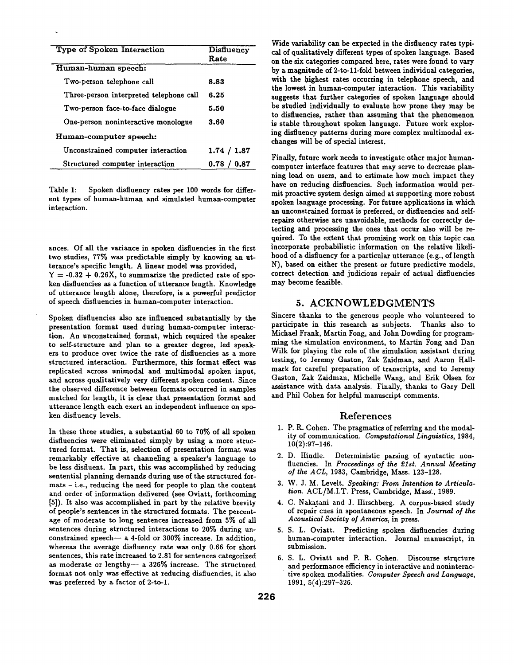| <b>Type of Spoken Interaction</b>       | <b>Disfluency</b><br>Rate |
|-----------------------------------------|---------------------------|
| Human-human speech:                     |                           |
| Two-person telephone call               | 8.83                      |
| Three-person interpreted telephone call | 6.25                      |
| Two-person face-to-face dialogue        | 5.50                      |
| One-person noninteractive monologue     | 3.60                      |
| Human-computer speech:                  |                           |
| Unconstrained computer interaction      | 1.74 / 1.87               |
| Structured computer interaction         | 0.87<br>0.78              |

Table 1: Spoken disfluency rates per 100 words for different types of human-human and simulated human-computer interaction.

ances. Of all the variance in spoken disfluencies in the first two studies, 77% was predictable simply by knowing an utterance's specific length. A linear model was provided,  $Y = -0.32 + 0.26X$ , to summarize the predicted rate of spoken disfluencies as a function of utterance length. Knowledge of utterance length alone, therefore, is a powerful predictor of speech disfiuencies in human-computer interaction.

Spoken disfluencies also are influenced substantially by the presentation format used during human-computer interaction. An unconstrained format, which required the speaker to self-structure and plan to a greater degree, led speakers to produce over twice the rate of disfluencies as & more structured interaction. Furthermore, this format effect was replicated across unimodal and multimodal spoken input, and across qualitatively very different spoken content. Since the observed difference between formats occurred in samples matched for length, it is clear that presentation format and utterance length each exert an independent influence on spoken disfluency levels.

In these three studies, a substantial 60 to 70% of all spoken disfluencies were eliminated simply by using a more structured format. That is, selection of presentation format was remarkably effective at channeling a speaker's language to be less disfluent. In part, this was accomplished by reducing sentential planning demands during use of the structured formats - i.e., reducing the need for people to plan the content and order of information delivered (see Oviatt, forthcoming [5]). It also was accomplished in part by the relative brevity of people's sentences in the structured formats. The percentage of moderate to long sentences increased from 5% of all sentences during structured interactions to 20% during unconstrained speech- $-$  a 4-fold or 300% increase. In addition, whereas the average disfluency rate was only 0.66 for short sentences, this rate increased to 2.81 for sentences categorized as moderate or lengthy- a 326% increase. The structured format not only was effective at reducing disfluencies, it also was preferred by a factor of 2-to-1.

Wide variability can be expected in the disfluency rates typical of qualitatively different types of spoken language. Based on the six categories compared here, rates were found to vary by a magnitude of 2-to-11-fold between individual categories, with the highest rates occurring in telephone speech, and the lowest in human-computer interaction. This variability suggests that further categories of spoken language should be studied individually to evaluate how prone they may be to disfluencies, rather than assuming that the phenomenon is stable throughout spoken language. Future work exploring disfluency patterns during more complex multimodal exchanges will be of special interest.

Finally, future work needs to investigate other major humancomputer interface features that may serve to decrease planning load on users, and to estimate how much impact they have on reducing disfluencies. Such information would permit proactive system design aimed at supporting more robust spoken language processing. For future applications in which an unconstrained format is preferred, or disfluencies and selfrepairs otherwise are unavoidable, methods for correctly detecting and processing the ones that occur also will be required. To the extent that promising work on this topic can incorporate probabilistic information on the relative likelihood of a disfluency for a particular utterance (e.g., of length N), based on either the present or future predictive models, correct detection and judicious repair of actual disfluencies may become feasible.

#### **5.** ACKNOWLEDGMENTS

Sincere thanks to the generous people who volunteered to participate in this research as subjects. Thanks also to Michael Frank, Martin Fong, and John Dowding for programming the simulation environment, to Martin Fong and Dan Wilk for playing the role of the simulation assistant during testing, to Jeremy Gaston, Zak Zaidman, and Aaron Hallmark for careful preparation of transcripts, and to Jeremy Gaston, Zak Zaidman, Michelle Wang, and Erik Olsen for assistance with data analysis. Finally, thanks to Gary Dell and Phil Cohen for helpful manuscript comments.

## References

- 1. P. R. Cohen. The pragmatics of referring and the modality of communication. *Computational Linguistics,* 1984, 10(2):97-146.
- 2. D. Hindle. Deterministic parsing of syntactic nonfluencies. In *Proceedings of the 21st. Annual Meeting o] the ACL,* 1983, Cambridge, Mass. 123-128.
- 3. W. J. M. Levelt. *Speaking: From Intention to Articulation.* ACL/M.I.T. Press, Cambridge, Mass:, 1989.
- 4. C. Nakatani and J. Hirschberg. A corpus-based study of repair cues in spontaneous speech. In *Journal of the Acoustical Society of America,* in press.
- 5. S. L. Oviatt. Predicting spoken disfluencies during human-computer interaction. Journal manuscript, in submission.
- 6. S. L. Oviatt and P. R. Cohen. Discourse structure and performance efficiency in interactive and noninteractive spoken modalities. *Computer Speech and Language,*  1991, 5(4):297-326.